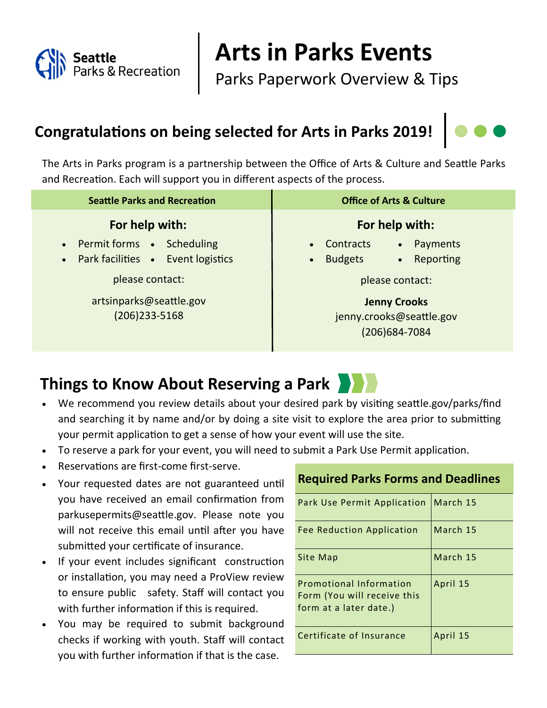

# **Arts in Parks Events**

Parks Paperwork Overview & Tips

## **Congratulations on being selected for Arts in Parks 2019!**

The Arts in Parks program is a partnership between the Office of Arts & Culture and Seattle Parks and Recreation. Each will support you in different aspects of the process.

| <b>Seattle Parks and Recreation</b>                                           | <b>Office of Arts &amp; Culture</b>                                                                      |
|-------------------------------------------------------------------------------|----------------------------------------------------------------------------------------------------------|
| For help with:                                                                | For help with:                                                                                           |
| • Permit forms • Scheduling<br>Park facilities . Event logistics<br>$\bullet$ | Contracts<br>Payments<br>$\bullet$<br>$\bullet$<br>Reporting<br><b>Budgets</b><br>$\bullet$<br>$\bullet$ |
| please contact:                                                               | please contact:                                                                                          |
| artsinparks@seattle.gov<br>$(206)$ 233-5168                                   | <b>Jenny Crooks</b><br>jenny.crooks@seattle.gov<br>(206) 684-7084                                        |

### **Things to Know About Reserving a Park**

- We recommend you review details about your desired park by visiting seattle.gov/parks/find and searching it by name and/or by doing a site visit to explore the area prior to submitting your permit application to get a sense of how your event will use the site.
- To reserve a park for your event, you will need to submit a Park Use Permit application.
- Reservations are first-come first-serve.
- Your requested dates are not guaranteed until you have received an email confirmation from parkusepermits@seattle.gov. Please note you will not receive this email until after you have submitted your certificate of insurance.
- If your event includes significant construction or installation, you may need a ProView review to ensure public safety. Staff will contact you with further information if this is required.
- You may be required to submit background checks if working with youth. Staff will contact you with further information if that is the case.

| Park Use Permit Application                                                      | March 15 |
|----------------------------------------------------------------------------------|----------|
| Fee Reduction Application                                                        | March 15 |
| Site Map                                                                         | March 15 |
| Promotional Information<br>Form (You will receive this<br>form at a later date.) | April 15 |
| Certificate of Insurance                                                         | April 15 |

#### **Required Parks Forms and Deadlines**